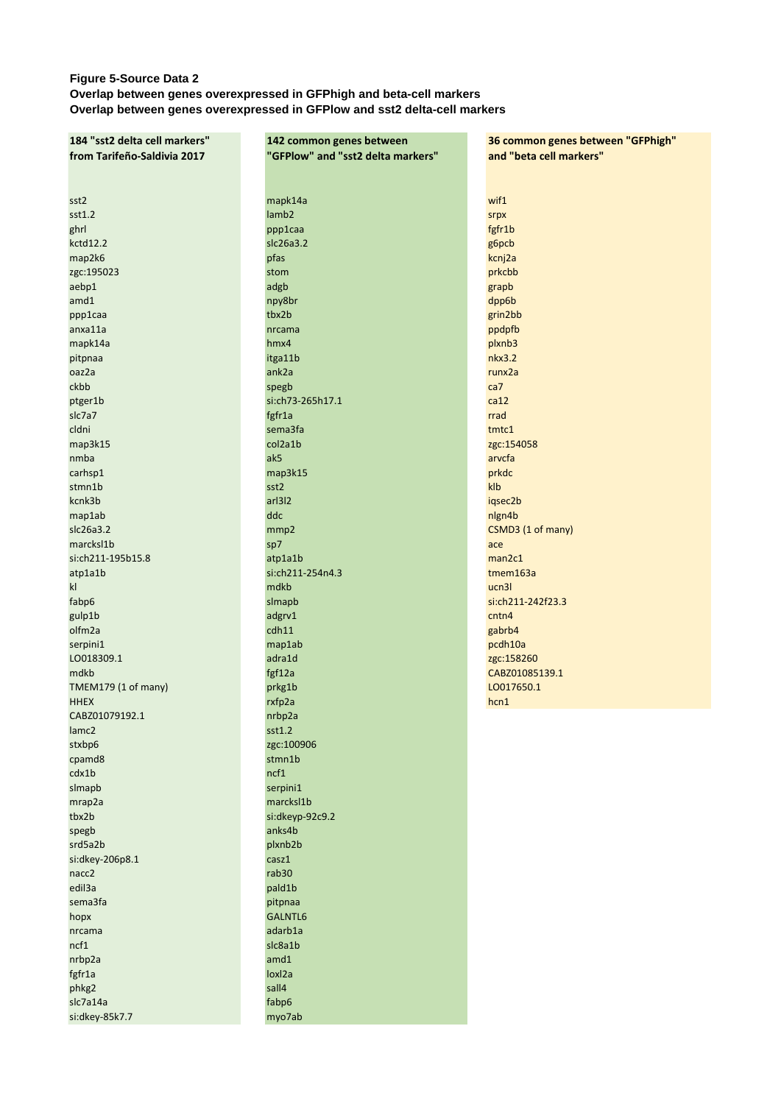## **Figure 5-Source Data 2 Overlap between genes overexpressed in GFPhigh and beta-cell markers Overlap between genes overexpressed in GFPlow and sst2 delta-cell markers**

| 184 "sst2 delta cell markers" | 142 common genes between          | 36 common genes between "GFPhigh" |
|-------------------------------|-----------------------------------|-----------------------------------|
| from Tarifeño-Saldivia 2017   | "GFPlow" and "sst2 delta markers" | and "beta cell markers"           |
|                               |                                   |                                   |
|                               |                                   |                                   |
|                               |                                   |                                   |
| sst2                          | mapk14a                           | wif1                              |
| sst1.2                        | lamb <sub>2</sub>                 | srpx                              |
| ghrl                          | ppp1caa                           | fgfr1b                            |
|                               |                                   |                                   |
| kctd12.2                      | slc26a3.2                         | g6pcb                             |
| map2k6                        | pfas                              | kcnj2a                            |
| zgc:195023                    | stom                              | prkcbb                            |
| aebp1                         | adgb                              | grapb                             |
| amd1                          | npy8br                            | dpp6b                             |
| ppp1caa                       | tbx2b                             | grin2bb                           |
|                               |                                   |                                   |
| anxa11a                       | nrcama                            | ppdpfb                            |
| mapk14a                       | hmx4                              | plxnb3                            |
| pitpnaa                       | itga11b                           | nkx3.2                            |
| oaz2a                         | ank2a                             | runx2a                            |
| ckbb                          | spegb                             | ca7                               |
| ptger1b                       | si:ch73-265h17.1                  | ca12                              |
|                               |                                   |                                   |
| slc7a7                        | fgfr1a                            | rrad                              |
| cldni                         | sema3fa                           | tmtc1                             |
| map3k15                       | col2a1b                           | zgc:154058                        |
| nmba                          | ak5                               | arvcfa                            |
| carhsp1                       | map3k15                           | prkdc                             |
|                               |                                   |                                   |
| stmn1b                        | sst2                              | klb                               |
| kcnk3b                        | arl3l2                            | iqsec2b                           |
| map1ab                        | ddc                               | nlgn4b                            |
| slc26a3.2                     | mmp2                              | CSMD3 (1 of many)                 |
| marcksl1b                     | sp7                               | ace                               |
| si:ch211-195b15.8             | atp1a1b                           | man2c1                            |
|                               | si:ch211-254n4.3                  | tmem163a                          |
| atp1a1b                       |                                   |                                   |
| k                             | mdkb                              | ucn3l                             |
| fabp6                         | slmapb                            | si:ch211-242f23.3                 |
| gulp1b                        | adgrv1                            | cntn4                             |
| olfm2a                        | cdh11                             | gabrb4                            |
| serpini1                      | map1ab                            | pcdh10a                           |
| LO018309.1                    | adra1d                            | zgc:158260                        |
|                               |                                   |                                   |
| mdkb                          | fgf12a                            | CABZ01085139.1                    |
| TMEM179 (1 of many)           | prkg1b                            | LO017650.1                        |
| <b>HHEX</b>                   | rxfp2a                            | hcn1                              |
| CABZ01079192.1                | nrbp2a                            |                                   |
| lamc <sub>2</sub>             | sst1.2                            |                                   |
| stxbp6                        | zgc:100906                        |                                   |
|                               |                                   |                                   |
| cpamd8                        | stmn1b                            |                                   |
| cdx1b                         | ncf1                              |                                   |
| slmapb                        | serpini1                          |                                   |
| mrap2a                        | marcksl1b                         |                                   |
| tbx2b                         | si:dkeyp-92c9.2                   |                                   |
| spegb                         | anks4b                            |                                   |
| srd5a2b                       | plxnb2b                           |                                   |
|                               |                                   |                                   |
| si:dkey-206p8.1               | casz1                             |                                   |
| nacc2                         | rab30                             |                                   |
| edil3a                        | pald1b                            |                                   |
| sema3fa                       | pitpnaa                           |                                   |
| hopx                          | GALNTL6                           |                                   |
| nrcama                        | adarb1a                           |                                   |
|                               |                                   |                                   |
| ncf1                          | slc8a1b                           |                                   |
| nrbp2a                        | amd1                              |                                   |
| fgfr1a                        | loxl2a                            |                                   |
| phkg2                         | sall4                             |                                   |
| slc7a14a                      | fabp6                             |                                   |

si:dkey-85k7.7 myo7ab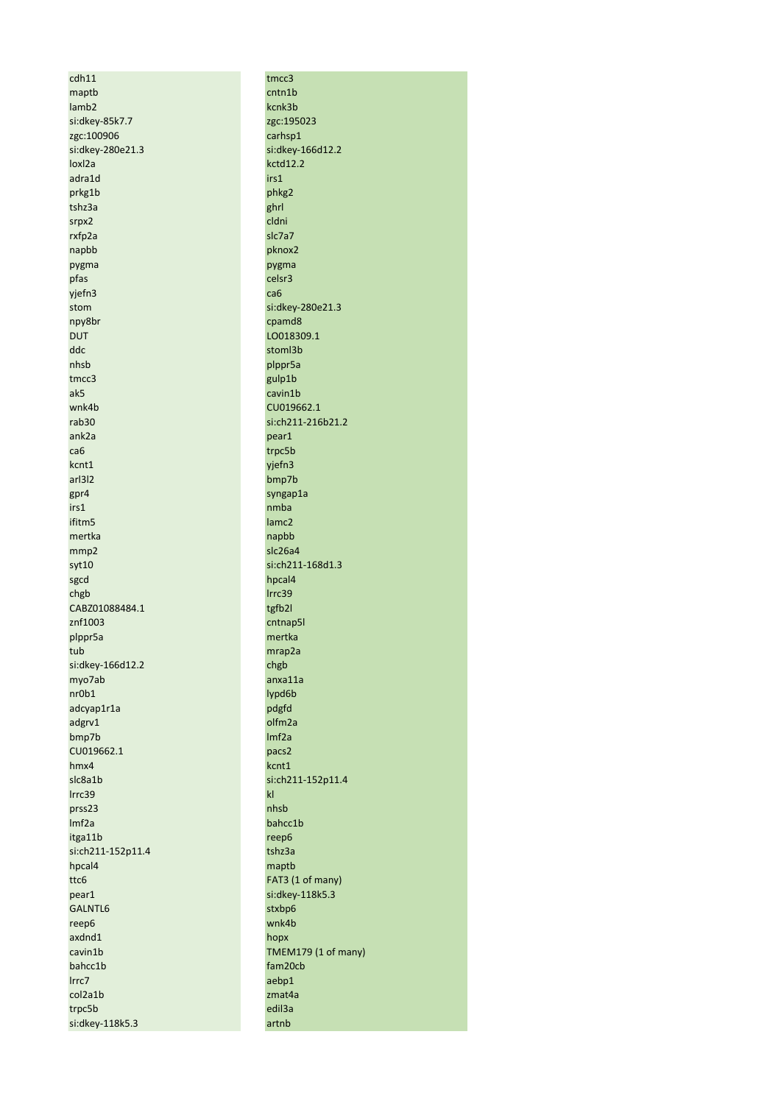$cdh11$ maptb lamb<sub>2</sub> si:dkey-85k7.7 zgc:100906 si:dkey-280e21.3 loxl2a adra1d prkg1b tshz3a srpx2 rxfp2a napbb pygma pfas yjefn3 stom npy8br **DUT** ddc nhsb tmcc3 ak5 wnk4b rab30 ank2a ca6 kcnt1 arl3l2  $gpr4$ irs1 ifitm5 mertka mmp2 syt10 sgcd chgb CABZ01088484.1 znf1003 plppr5a tub si:dkey-166d12.2 myo7ab  $nr0b1$ adcyap1r1a adgrv1 bmp7b CU019662.1  $hmx4$ slc8a1b Irrc39 prss23  $Imf2a$ itga11b si:ch211-152p11.4 hpcal4 ttc6 pear1 GALNTL6 reep6 axdnd1 cavin1b bahcc1b Irrc7 col2a1b trpc5b si:dkey-118k5.3

tmcc3  $cntn1b$ kcnk3b zgc:195023 carhsp1 si:dkey-166d12.2  $kctd12.2$ irs1 phkg2 ghrl cldni slc7a7 pknox2 pygma celsr3 ca6 si:dkey-280e21.3 cpamd8 LO018309.1 stoml3b plppr5a gulp1b cavin1b CU019662.1 si:ch211-216b21.2 pear1 trpc5b yjefn3 bmp7b syngap1a nmba lamc<sub>2</sub> napbb slc26a4 si:ch211-168d1.3 hpcal4 Irrc39 tgfb2l cntnap5l mertka mrap2a chgb anxa11a lypd6b pdgfd olfm2a  $Imf2a$ pacs2 kcnt1 si:ch211-152p11.4  $\mathsf{kl}$ nhsb bahcc1b reep6 tshz3a maptb FAT3 (1 of many) si:dkey-118k5.3 stxbp6 wnk4b hopx TMEM179 (1 of many) fam20cb aebp1 zmat4a edil3a artnb